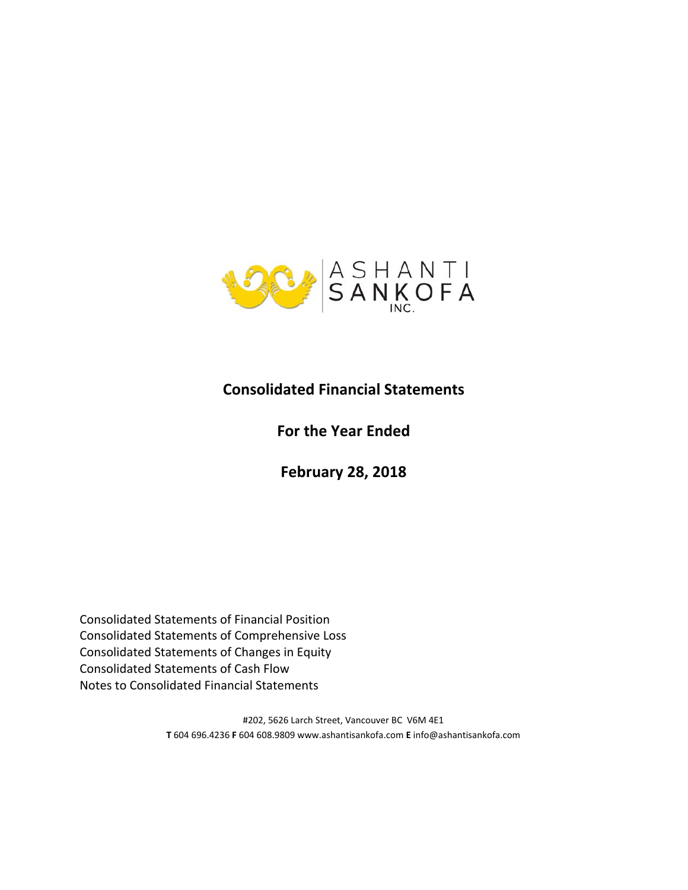

# **Consolidated Financial Statements**

# **For the Year Ended**

**February 28, 2018** 

Consolidated Statements of Financial Position Consolidated Statements of Comprehensive Loss Consolidated Statements of Changes in Equity Consolidated Statements of Cash Flow Notes to Consolidated Financial Statements

> #202, 5626 Larch Street, Vancouver BC V6M 4E1 **T** 604 696.4236 **F** 604 608.9809 www.ashantisankofa.com **E** info@ashantisankofa.com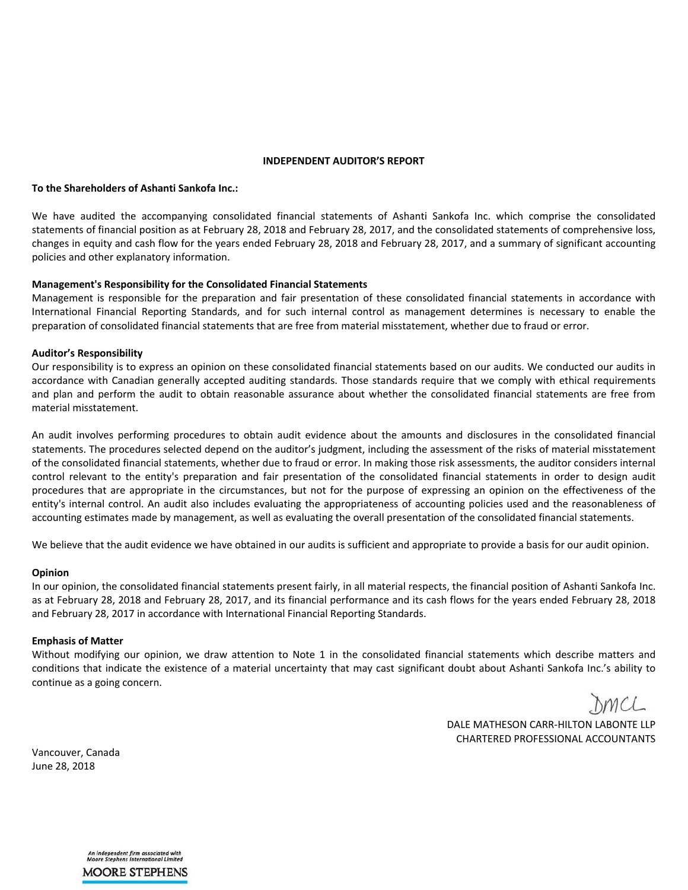### **INDEPENDENT AUDITOR'S REPORT**

#### **To the Shareholders of Ashanti Sankofa Inc.:**

We have audited the accompanying consolidated financial statements of Ashanti Sankofa Inc. which comprise the consolidated statements of financial position as at February 28, 2018 and February 28, 2017, and the consolidated statements of comprehensive loss, changes in equity and cash flow for the years ended February 28, 2018 and February 28, 2017, and a summary of significant accounting policies and other explanatory information.

### **Management's Responsibility for the Consolidated Financial Statements**

Management is responsible for the preparation and fair presentation of these consolidated financial statements in accordance with International Financial Reporting Standards, and for such internal control as management determines is necessary to enable the preparation of consolidated financial statements that are free from material misstatement, whether due to fraud or error.

### **Auditor's Responsibility**

Our responsibility is to express an opinion on these consolidated financial statements based on our audits. We conducted our audits in accordance with Canadian generally accepted auditing standards. Those standards require that we comply with ethical requirements and plan and perform the audit to obtain reasonable assurance about whether the consolidated financial statements are free from material misstatement.

An audit involves performing procedures to obtain audit evidence about the amounts and disclosures in the consolidated financial statements. The procedures selected depend on the auditor's judgment, including the assessment of the risks of material misstatement of the consolidated financial statements, whether due to fraud or error. In making those risk assessments, the auditor considers internal control relevant to the entity's preparation and fair presentation of the consolidated financial statements in order to design audit procedures that are appropriate in the circumstances, but not for the purpose of expressing an opinion on the effectiveness of the entity's internal control. An audit also includes evaluating the appropriateness of accounting policies used and the reasonableness of accounting estimates made by management, as well as evaluating the overall presentation of the consolidated financial statements.

We believe that the audit evidence we have obtained in our audits is sufficient and appropriate to provide a basis for our audit opinion.

#### **Opinion**

In our opinion, the consolidated financial statements present fairly, in all material respects, the financial position of Ashanti Sankofa Inc. as at February 28, 2018 and February 28, 2017, and its financial performance and its cash flows for the years ended February 28, 2018 and February 28, 2017 in accordance with International Financial Reporting Standards.

### **Emphasis of Matter**

Without modifying our opinion, we draw attention to Note 1 in the consolidated financial statements which describe matters and conditions that indicate the existence of a material uncertainty that may cast significant doubt about Ashanti Sankofa Inc.'s ability to continue as a going concern.

DMCL

DALE MATHESON CARR-HILTON LABONTE LLP CHARTERED PROFESSIONAL ACCOUNTANTS

Vancouver, Canada June 28, 2018

> An independent firm associated with<br>Moore Stephens International Limited **MOORE STEPHENS**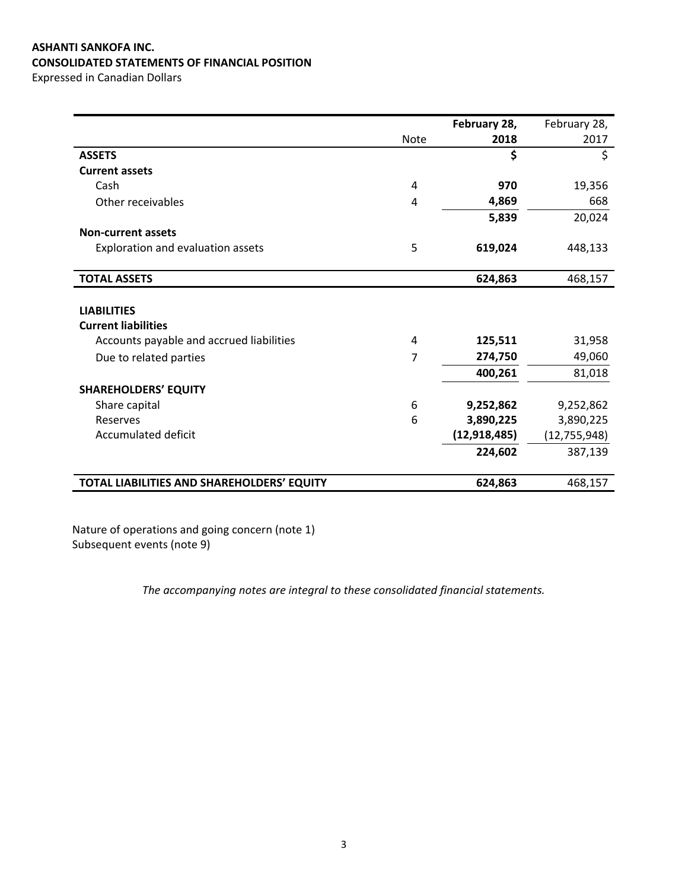# **ASHANTI SANKOFA INC. CONSOLIDATED STATEMENTS OF FINANCIAL POSITION**

Expressed in Canadian Dollars

|                                            |                | February 28, | February 28,   |
|--------------------------------------------|----------------|--------------|----------------|
|                                            | <b>Note</b>    | 2018         | 2017           |
| <b>ASSETS</b>                              |                | \$           | \$             |
| <b>Current assets</b>                      |                |              |                |
| Cash                                       | $\overline{4}$ | 970          | 19,356         |
| Other receivables                          | 4              | 4,869        | 668            |
|                                            |                | 5,839        | 20,024         |
| <b>Non-current assets</b>                  |                |              |                |
| Exploration and evaluation assets          | 5              | 619,024      | 448,133        |
|                                            |                |              |                |
| <b>TOTAL ASSETS</b>                        |                | 624,863      | 468,157        |
|                                            |                |              |                |
| <b>LIABILITIES</b>                         |                |              |                |
| <b>Current liabilities</b>                 |                |              |                |
| Accounts payable and accrued liabilities   | 4              | 125,511      | 31,958         |
| Due to related parties                     | 7              | 274,750      | 49,060         |
|                                            |                | 400,261      | 81,018         |
| <b>SHAREHOLDERS' EQUITY</b>                |                |              |                |
| Share capital                              | 6              | 9,252,862    | 9,252,862      |
| Reserves                                   | 6              | 3,890,225    | 3,890,225      |
| Accumulated deficit                        |                | (12,918,485) | (12, 755, 948) |
|                                            |                | 224,602      | 387,139        |
|                                            |                |              |                |
| TOTAL LIABILITIES AND SHAREHOLDERS' EQUITY |                | 624,863      | 468,157        |

Nature of operations and going concern (note 1) Subsequent events (note 9)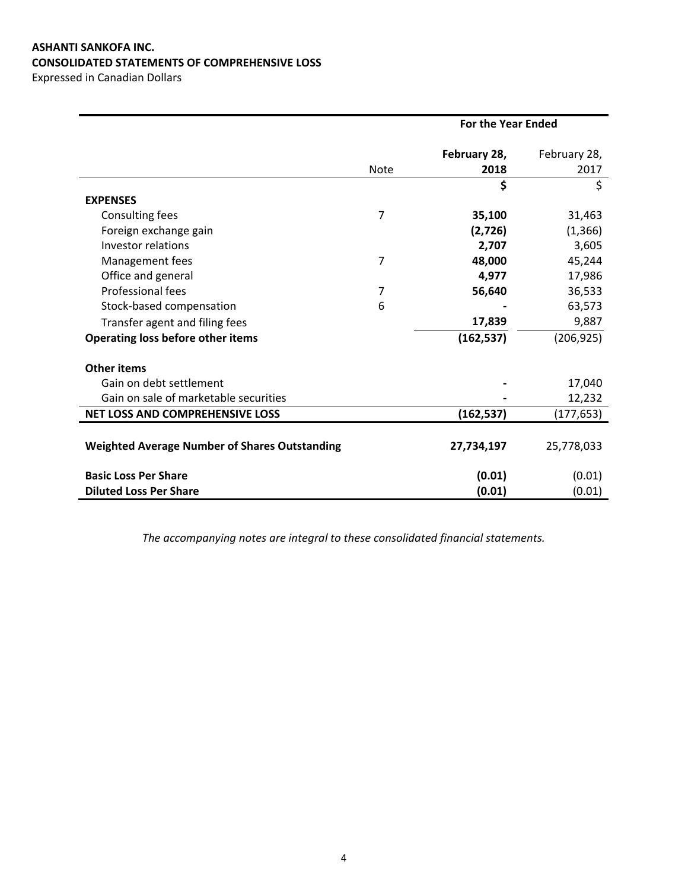# **ASHANTI SANKOFA INC. CONSOLIDATED STATEMENTS OF COMPREHENSIVE LOSS**

Expressed in Canadian Dollars

|                                                      | <b>For the Year Ended</b> |              |              |
|------------------------------------------------------|---------------------------|--------------|--------------|
|                                                      |                           | February 28, | February 28, |
|                                                      | <b>Note</b>               | 2018         | 2017         |
|                                                      |                           | \$           | \$           |
| <b>EXPENSES</b>                                      |                           |              |              |
| Consulting fees                                      | 7                         | 35,100       | 31,463       |
| Foreign exchange gain                                |                           | (2,726)      | (1, 366)     |
| <b>Investor relations</b>                            |                           | 2,707        | 3,605        |
| Management fees                                      | 7                         | 48,000       | 45,244       |
| Office and general                                   |                           | 4,977        | 17,986       |
| Professional fees                                    | 7                         | 56,640       | 36,533       |
| Stock-based compensation                             | 6                         |              | 63,573       |
| Transfer agent and filing fees                       |                           | 17,839       | 9,887        |
| Operating loss before other items                    |                           | (162, 537)   | (206, 925)   |
| <b>Other items</b>                                   |                           |              |              |
| Gain on debt settlement                              |                           |              | 17,040       |
| Gain on sale of marketable securities                |                           |              | 12,232       |
| NET LOSS AND COMPREHENSIVE LOSS                      |                           | (162, 537)   | (177, 653)   |
|                                                      |                           |              |              |
| <b>Weighted Average Number of Shares Outstanding</b> |                           | 27,734,197   | 25,778,033   |
| <b>Basic Loss Per Share</b>                          |                           | (0.01)       | (0.01)       |
| <b>Diluted Loss Per Share</b>                        |                           | (0.01)       | (0.01)       |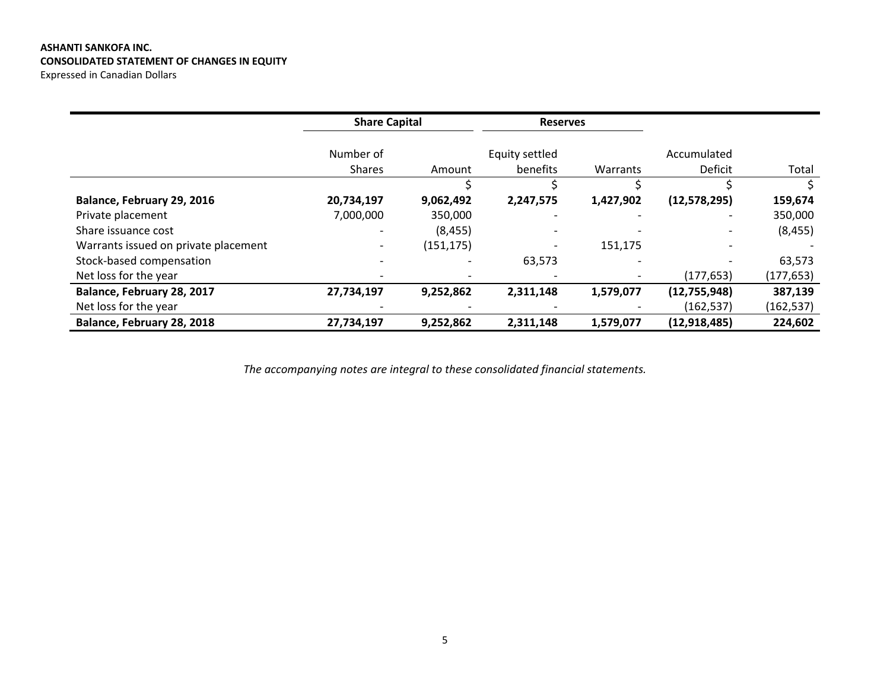# **ASHANTI SANKOFA INC. CONSOLIDATED STATEMENT OF CHANGES IN EQUITY**

Expressed in Canadian Dollars

|                                      | <b>Share Capital</b>     |            | <b>Reserves</b>              |           |                |            |
|--------------------------------------|--------------------------|------------|------------------------------|-----------|----------------|------------|
|                                      | Number of                |            | Equity settled               |           | Accumulated    |            |
|                                      | Shares                   | Amount     | benefits                     | Warrants  | Deficit        | Total      |
|                                      |                          |            |                              |           |                |            |
| Balance, February 29, 2016           | 20,734,197               | 9,062,492  | 2,247,575                    | 1,427,902 | (12, 578, 295) | 159,674    |
| Private placement                    | 7,000,000                | 350,000    |                              |           |                | 350,000    |
| Share issuance cost                  | $\overline{\phantom{0}}$ | (8, 455)   | $\qquad \qquad \blacksquare$ |           |                | (8, 455)   |
| Warrants issued on private placement |                          | (151, 175) |                              | 151,175   |                |            |
| Stock-based compensation             |                          |            | 63,573                       |           |                | 63,573     |
| Net loss for the year                |                          |            |                              |           | (177, 653)     | (177, 653) |
| Balance, February 28, 2017           | 27,734,197               | 9,252,862  | 2,311,148                    | 1,579,077 | (12,755,948)   | 387,139    |
| Net loss for the year                |                          |            |                              |           | (162, 537)     | (162,537)  |
| Balance, February 28, 2018           | 27,734,197               | 9,252,862  | 2,311,148                    | 1,579,077 | (12, 918, 485) | 224,602    |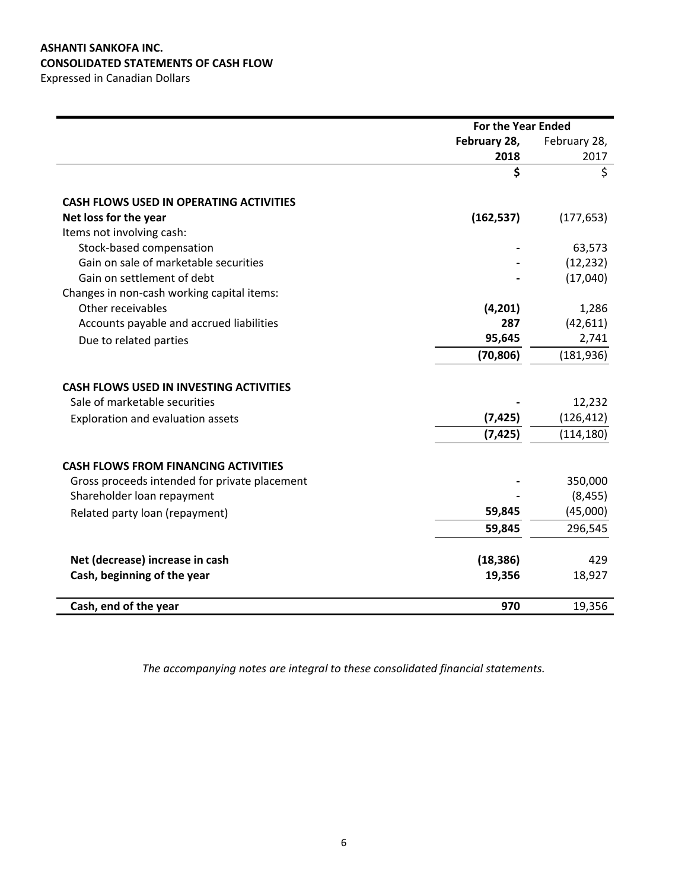# **ASHANTI SANKOFA INC. CONSOLIDATED STATEMENTS OF CASH FLOW**

Expressed in Canadian Dollars

|                                                | <b>For the Year Ended</b> |              |
|------------------------------------------------|---------------------------|--------------|
|                                                | February 28,              | February 28, |
|                                                | 2018                      | 2017         |
|                                                | \$                        | \$           |
|                                                |                           |              |
| <b>CASH FLOWS USED IN OPERATING ACTIVITIES</b> |                           |              |
| Net loss for the year                          | (162, 537)                | (177, 653)   |
| Items not involving cash:                      |                           |              |
| Stock-based compensation                       |                           | 63,573       |
| Gain on sale of marketable securities          |                           | (12, 232)    |
| Gain on settlement of debt                     |                           | (17,040)     |
| Changes in non-cash working capital items:     |                           |              |
| Other receivables                              | (4, 201)                  | 1,286        |
| Accounts payable and accrued liabilities       | 287                       | (42, 611)    |
| Due to related parties                         | 95,645                    | 2,741        |
|                                                | (70, 806)                 | (181, 936)   |
| <b>CASH FLOWS USED IN INVESTING ACTIVITIES</b> |                           |              |
| Sale of marketable securities                  |                           | 12,232       |
| Exploration and evaluation assets              | (7, 425)                  | (126, 412)   |
|                                                | (7, 425)                  | (114, 180)   |
|                                                |                           |              |
| <b>CASH FLOWS FROM FINANCING ACTIVITIES</b>    |                           |              |
| Gross proceeds intended for private placement  |                           | 350,000      |
| Shareholder loan repayment                     |                           | (8, 455)     |
| Related party loan (repayment)                 | 59,845                    | (45,000)     |
|                                                | 59,845                    | 296,545      |
|                                                |                           |              |
| Net (decrease) increase in cash                | (18, 386)                 | 429          |
| Cash, beginning of the year                    | 19,356                    | 18,927       |
| Cash, end of the year                          | 970                       | 19,356       |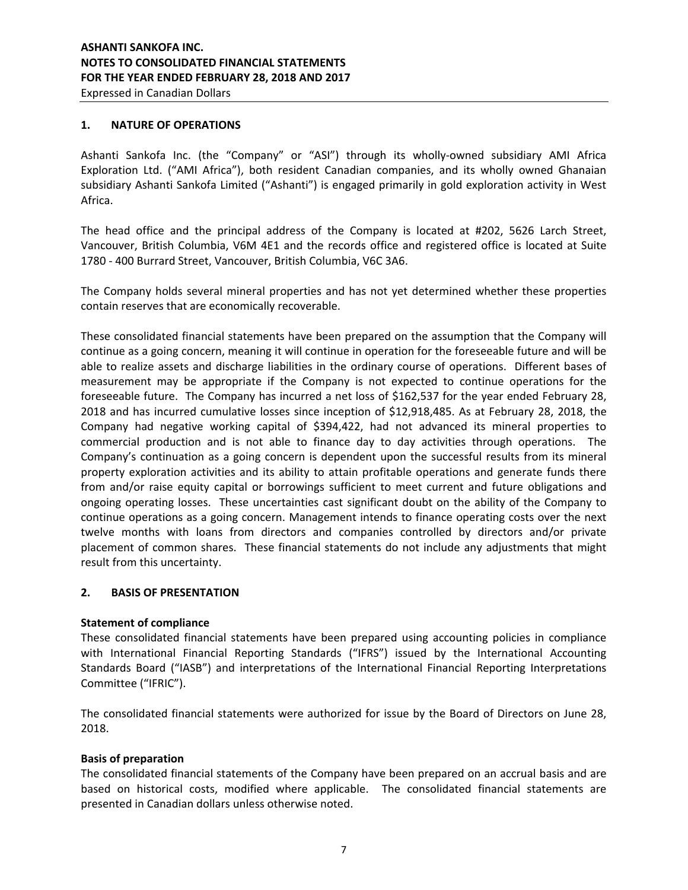## **1. NATURE OF OPERATIONS**

Ashanti Sankofa Inc. (the "Company" or "ASI") through its wholly-owned subsidiary AMI Africa Exploration Ltd. ("AMI Africa"), both resident Canadian companies, and its wholly owned Ghanaian subsidiary Ashanti Sankofa Limited ("Ashanti") is engaged primarily in gold exploration activity in West Africa.

The head office and the principal address of the Company is located at #202, 5626 Larch Street, Vancouver, British Columbia, V6M 4E1 and the records office and registered office is located at Suite 1780 - 400 Burrard Street, Vancouver, British Columbia, V6C 3A6.

The Company holds several mineral properties and has not yet determined whether these properties contain reserves that are economically recoverable.

These consolidated financial statements have been prepared on the assumption that the Company will continue as a going concern, meaning it will continue in operation for the foreseeable future and will be able to realize assets and discharge liabilities in the ordinary course of operations. Different bases of measurement may be appropriate if the Company is not expected to continue operations for the foreseeable future. The Company has incurred a net loss of \$162,537 for the year ended February 28, 2018 and has incurred cumulative losses since inception of \$12,918,485. As at February 28, 2018, the Company had negative working capital of \$394,422, had not advanced its mineral properties to commercial production and is not able to finance day to day activities through operations. The Company's continuation as a going concern is dependent upon the successful results from its mineral property exploration activities and its ability to attain profitable operations and generate funds there from and/or raise equity capital or borrowings sufficient to meet current and future obligations and ongoing operating losses. These uncertainties cast significant doubt on the ability of the Company to continue operations as a going concern. Management intends to finance operating costs over the next twelve months with loans from directors and companies controlled by directors and/or private placement of common shares. These financial statements do not include any adjustments that might result from this uncertainty.

### **2. BASIS OF PRESENTATION**

### **Statement of compliance**

These consolidated financial statements have been prepared using accounting policies in compliance with International Financial Reporting Standards ("IFRS") issued by the International Accounting Standards Board ("IASB") and interpretations of the International Financial Reporting Interpretations Committee ("IFRIC").

The consolidated financial statements were authorized for issue by the Board of Directors on June 28, 2018.

### **Basis of preparation**

The consolidated financial statements of the Company have been prepared on an accrual basis and are based on historical costs, modified where applicable. The consolidated financial statements are presented in Canadian dollars unless otherwise noted.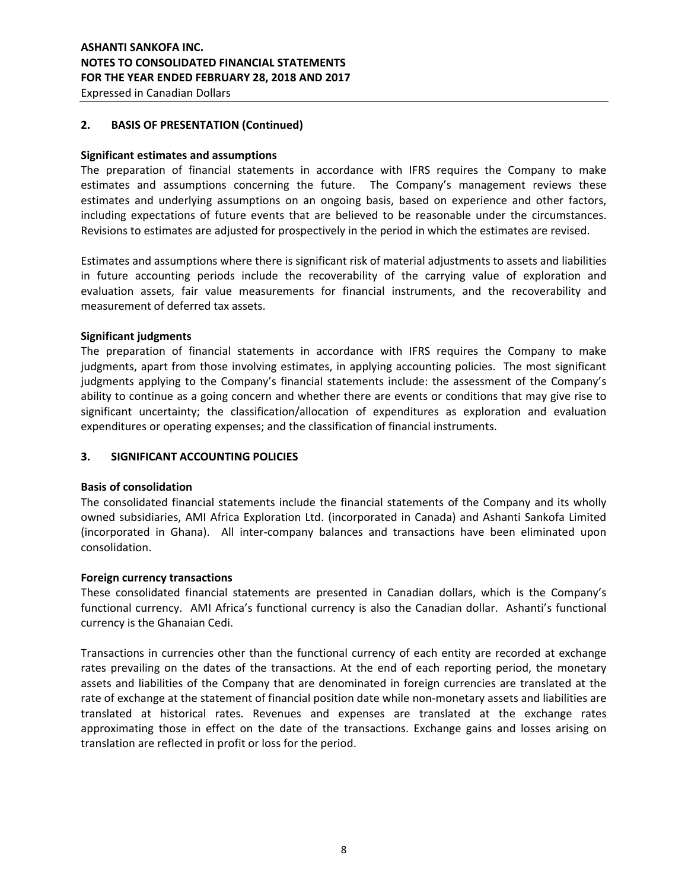## **2. BASIS OF PRESENTATION (Continued)**

### **Significant estimates and assumptions**

The preparation of financial statements in accordance with IFRS requires the Company to make estimates and assumptions concerning the future. The Company's management reviews these estimates and underlying assumptions on an ongoing basis, based on experience and other factors, including expectations of future events that are believed to be reasonable under the circumstances. Revisions to estimates are adjusted for prospectively in the period in which the estimates are revised.

Estimates and assumptions where there is significant risk of material adjustments to assets and liabilities in future accounting periods include the recoverability of the carrying value of exploration and evaluation assets, fair value measurements for financial instruments, and the recoverability and measurement of deferred tax assets.

### **Significant judgments**

The preparation of financial statements in accordance with IFRS requires the Company to make judgments, apart from those involving estimates, in applying accounting policies. The most significant judgments applying to the Company's financial statements include: the assessment of the Company's ability to continue as a going concern and whether there are events or conditions that may give rise to significant uncertainty; the classification/allocation of expenditures as exploration and evaluation expenditures or operating expenses; and the classification of financial instruments.

# **3. SIGNIFICANT ACCOUNTING POLICIES**

### **Basis of consolidation**

The consolidated financial statements include the financial statements of the Company and its wholly owned subsidiaries, AMI Africa Exploration Ltd. (incorporated in Canada) and Ashanti Sankofa Limited (incorporated in Ghana). All inter-company balances and transactions have been eliminated upon consolidation.

### **Foreign currency transactions**

These consolidated financial statements are presented in Canadian dollars, which is the Company's functional currency. AMI Africa's functional currency is also the Canadian dollar. Ashanti's functional currency is the Ghanaian Cedi.

Transactions in currencies other than the functional currency of each entity are recorded at exchange rates prevailing on the dates of the transactions. At the end of each reporting period, the monetary assets and liabilities of the Company that are denominated in foreign currencies are translated at the rate of exchange at the statement of financial position date while non-monetary assets and liabilities are translated at historical rates. Revenues and expenses are translated at the exchange rates approximating those in effect on the date of the transactions. Exchange gains and losses arising on translation are reflected in profit or loss for the period.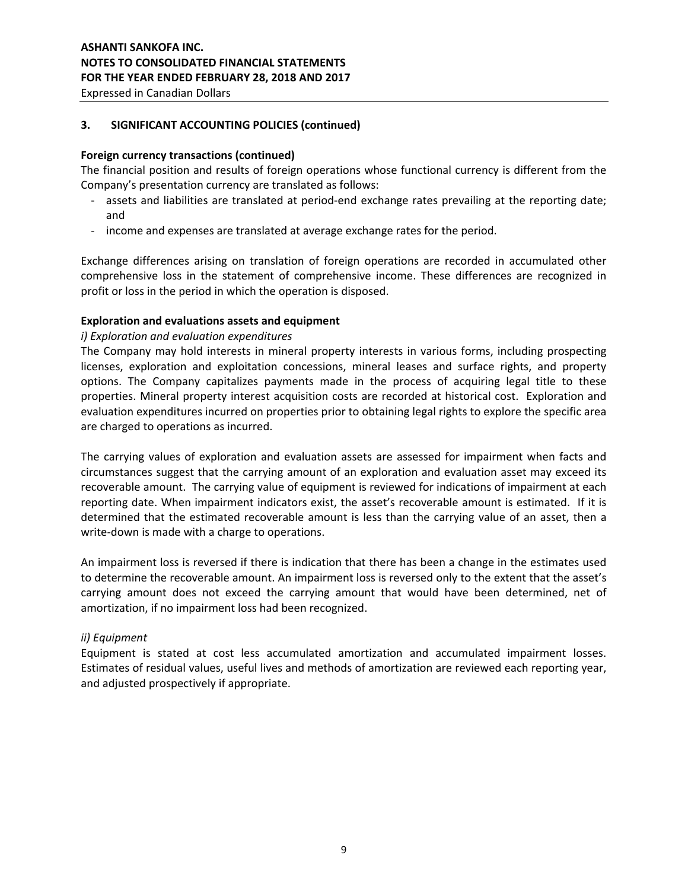# **3. SIGNIFICANT ACCOUNTING POLICIES (continued)**

# **Foreign currency transactions (continued)**

The financial position and results of foreign operations whose functional currency is different from the Company's presentation currency are translated as follows:

- assets and liabilities are translated at period-end exchange rates prevailing at the reporting date; and
- income and expenses are translated at average exchange rates for the period.

Exchange differences arising on translation of foreign operations are recorded in accumulated other comprehensive loss in the statement of comprehensive income. These differences are recognized in profit or loss in the period in which the operation is disposed.

### **Exploration and evaluations assets and equipment**

### *i) Exploration and evaluation expenditures*

The Company may hold interests in mineral property interests in various forms, including prospecting licenses, exploration and exploitation concessions, mineral leases and surface rights, and property options. The Company capitalizes payments made in the process of acquiring legal title to these properties. Mineral property interest acquisition costs are recorded at historical cost. Exploration and evaluation expenditures incurred on properties prior to obtaining legal rights to explore the specific area are charged to operations as incurred.

The carrying values of exploration and evaluation assets are assessed for impairment when facts and circumstances suggest that the carrying amount of an exploration and evaluation asset may exceed its recoverable amount. The carrying value of equipment is reviewed for indications of impairment at each reporting date. When impairment indicators exist, the asset's recoverable amount is estimated. If it is determined that the estimated recoverable amount is less than the carrying value of an asset, then a write-down is made with a charge to operations.

An impairment loss is reversed if there is indication that there has been a change in the estimates used to determine the recoverable amount. An impairment loss is reversed only to the extent that the asset's carrying amount does not exceed the carrying amount that would have been determined, net of amortization, if no impairment loss had been recognized.

### *ii) Equipment*

Equipment is stated at cost less accumulated amortization and accumulated impairment losses. Estimates of residual values, useful lives and methods of amortization are reviewed each reporting year, and adjusted prospectively if appropriate.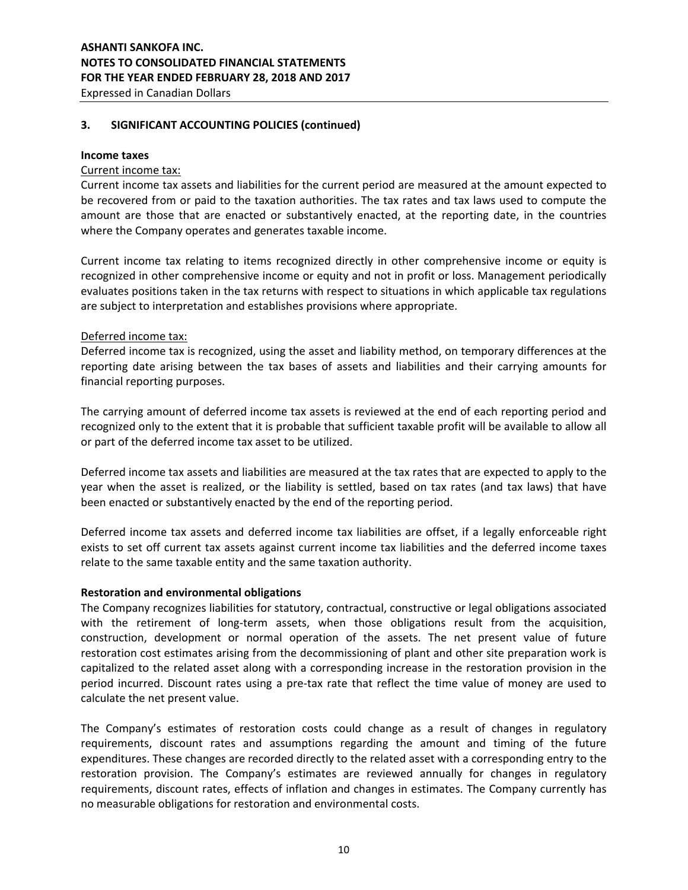# **3. SIGNIFICANT ACCOUNTING POLICIES (continued)**

### **Income taxes**

### Current income tax:

Current income tax assets and liabilities for the current period are measured at the amount expected to be recovered from or paid to the taxation authorities. The tax rates and tax laws used to compute the amount are those that are enacted or substantively enacted, at the reporting date, in the countries where the Company operates and generates taxable income.

Current income tax relating to items recognized directly in other comprehensive income or equity is recognized in other comprehensive income or equity and not in profit or loss. Management periodically evaluates positions taken in the tax returns with respect to situations in which applicable tax regulations are subject to interpretation and establishes provisions where appropriate.

### Deferred income tax:

Deferred income tax is recognized, using the asset and liability method, on temporary differences at the reporting date arising between the tax bases of assets and liabilities and their carrying amounts for financial reporting purposes.

The carrying amount of deferred income tax assets is reviewed at the end of each reporting period and recognized only to the extent that it is probable that sufficient taxable profit will be available to allow all or part of the deferred income tax asset to be utilized.

Deferred income tax assets and liabilities are measured at the tax rates that are expected to apply to the year when the asset is realized, or the liability is settled, based on tax rates (and tax laws) that have been enacted or substantively enacted by the end of the reporting period.

Deferred income tax assets and deferred income tax liabilities are offset, if a legally enforceable right exists to set off current tax assets against current income tax liabilities and the deferred income taxes relate to the same taxable entity and the same taxation authority.

### **Restoration and environmental obligations**

The Company recognizes liabilities for statutory, contractual, constructive or legal obligations associated with the retirement of long-term assets, when those obligations result from the acquisition, construction, development or normal operation of the assets. The net present value of future restoration cost estimates arising from the decommissioning of plant and other site preparation work is capitalized to the related asset along with a corresponding increase in the restoration provision in the period incurred. Discount rates using a pre-tax rate that reflect the time value of money are used to calculate the net present value.

The Company's estimates of restoration costs could change as a result of changes in regulatory requirements, discount rates and assumptions regarding the amount and timing of the future expenditures. These changes are recorded directly to the related asset with a corresponding entry to the restoration provision. The Company's estimates are reviewed annually for changes in regulatory requirements, discount rates, effects of inflation and changes in estimates. The Company currently has no measurable obligations for restoration and environmental costs.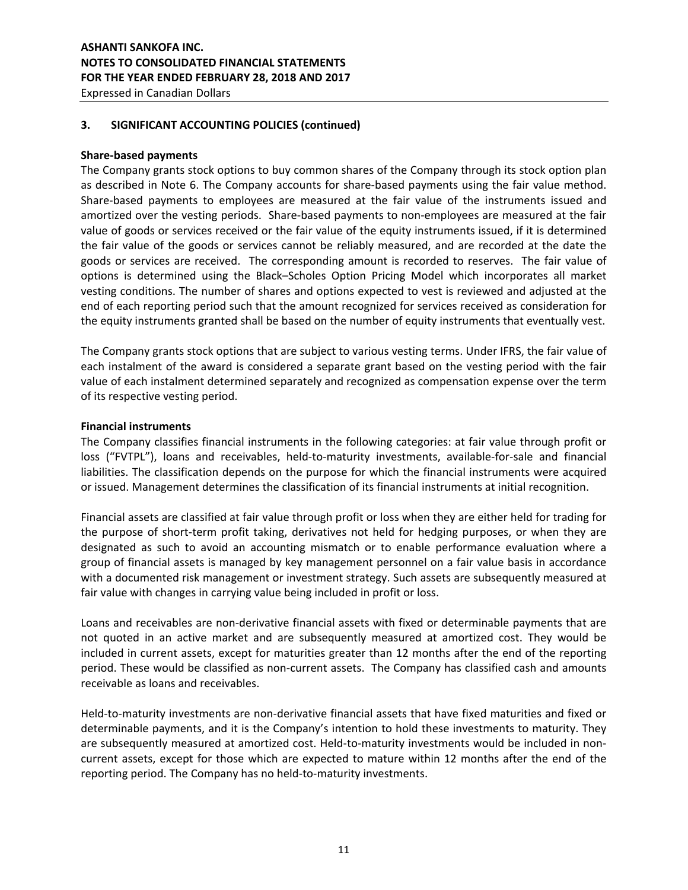# **ASHANTI SANKOFA INC. NOTES TO CONSOLIDATED FINANCIAL STATEMENTS FOR THE YEAR ENDED FEBRUARY 28, 2018 AND 2017**

Expressed in Canadian Dollars

# **3. SIGNIFICANT ACCOUNTING POLICIES (continued)**

### **Share-based payments**

The Company grants stock options to buy common shares of the Company through its stock option plan as described in Note 6. The Company accounts for share-based payments using the fair value method. Share-based payments to employees are measured at the fair value of the instruments issued and amortized over the vesting periods. Share-based payments to non-employees are measured at the fair value of goods or services received or the fair value of the equity instruments issued, if it is determined the fair value of the goods or services cannot be reliably measured, and are recorded at the date the goods or services are received. The corresponding amount is recorded to reserves. The fair value of options is determined using the Black–Scholes Option Pricing Model which incorporates all market vesting conditions. The number of shares and options expected to vest is reviewed and adjusted at the end of each reporting period such that the amount recognized for services received as consideration for the equity instruments granted shall be based on the number of equity instruments that eventually vest.

The Company grants stock options that are subject to various vesting terms. Under IFRS, the fair value of each instalment of the award is considered a separate grant based on the vesting period with the fair value of each instalment determined separately and recognized as compensation expense over the term of its respective vesting period.

### **Financial instruments**

The Company classifies financial instruments in the following categories: at fair value through profit or loss ("FVTPL"), loans and receivables, held-to-maturity investments, available-for-sale and financial liabilities. The classification depends on the purpose for which the financial instruments were acquired or issued. Management determines the classification of its financial instruments at initial recognition.

Financial assets are classified at fair value through profit or loss when they are either held for trading for the purpose of short-term profit taking, derivatives not held for hedging purposes, or when they are designated as such to avoid an accounting mismatch or to enable performance evaluation where a group of financial assets is managed by key management personnel on a fair value basis in accordance with a documented risk management or investment strategy. Such assets are subsequently measured at fair value with changes in carrying value being included in profit or loss.

Loans and receivables are non-derivative financial assets with fixed or determinable payments that are not quoted in an active market and are subsequently measured at amortized cost. They would be included in current assets, except for maturities greater than 12 months after the end of the reporting period. These would be classified as non-current assets. The Company has classified cash and amounts receivable as loans and receivables.

Held-to-maturity investments are non-derivative financial assets that have fixed maturities and fixed or determinable payments, and it is the Company's intention to hold these investments to maturity. They are subsequently measured at amortized cost. Held-to-maturity investments would be included in noncurrent assets, except for those which are expected to mature within 12 months after the end of the reporting period. The Company has no held-to-maturity investments.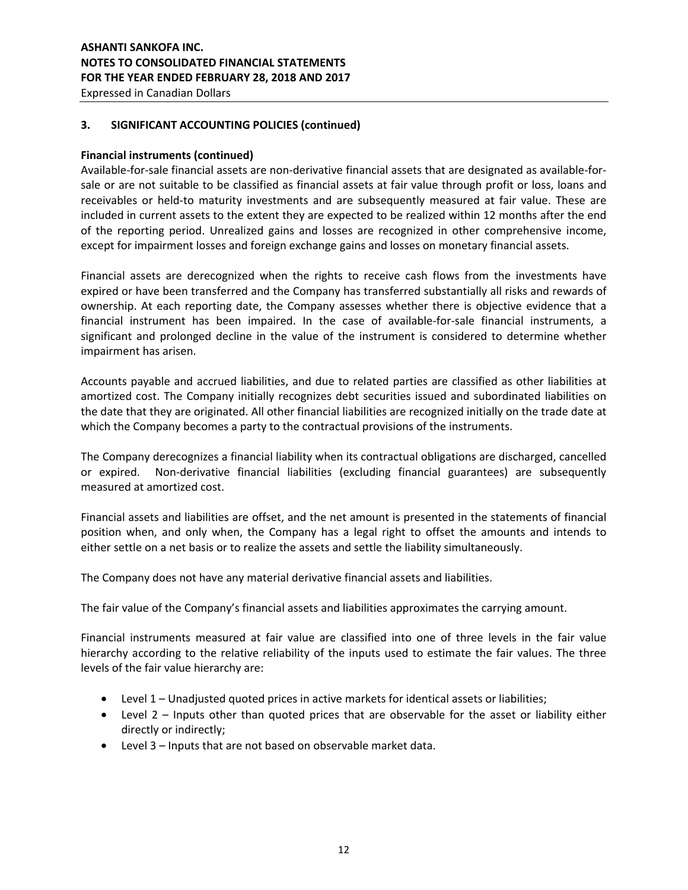## **3. SIGNIFICANT ACCOUNTING POLICIES (continued)**

### **Financial instruments (continued)**

Available-for-sale financial assets are non-derivative financial assets that are designated as available-forsale or are not suitable to be classified as financial assets at fair value through profit or loss, loans and receivables or held-to maturity investments and are subsequently measured at fair value. These are included in current assets to the extent they are expected to be realized within 12 months after the end of the reporting period. Unrealized gains and losses are recognized in other comprehensive income, except for impairment losses and foreign exchange gains and losses on monetary financial assets.

Financial assets are derecognized when the rights to receive cash flows from the investments have expired or have been transferred and the Company has transferred substantially all risks and rewards of ownership. At each reporting date, the Company assesses whether there is objective evidence that a financial instrument has been impaired. In the case of available-for-sale financial instruments, a significant and prolonged decline in the value of the instrument is considered to determine whether impairment has arisen.

Accounts payable and accrued liabilities, and due to related parties are classified as other liabilities at amortized cost. The Company initially recognizes debt securities issued and subordinated liabilities on the date that they are originated. All other financial liabilities are recognized initially on the trade date at which the Company becomes a party to the contractual provisions of the instruments.

The Company derecognizes a financial liability when its contractual obligations are discharged, cancelled or expired. Non-derivative financial liabilities (excluding financial guarantees) are subsequently measured at amortized cost.

Financial assets and liabilities are offset, and the net amount is presented in the statements of financial position when, and only when, the Company has a legal right to offset the amounts and intends to either settle on a net basis or to realize the assets and settle the liability simultaneously.

The Company does not have any material derivative financial assets and liabilities.

The fair value of the Company's financial assets and liabilities approximates the carrying amount.

Financial instruments measured at fair value are classified into one of three levels in the fair value hierarchy according to the relative reliability of the inputs used to estimate the fair values. The three levels of the fair value hierarchy are:

- Level 1 Unadjusted quoted prices in active markets for identical assets or liabilities;
- Level 2 Inputs other than quoted prices that are observable for the asset or liability either directly or indirectly;
- Level 3 Inputs that are not based on observable market data.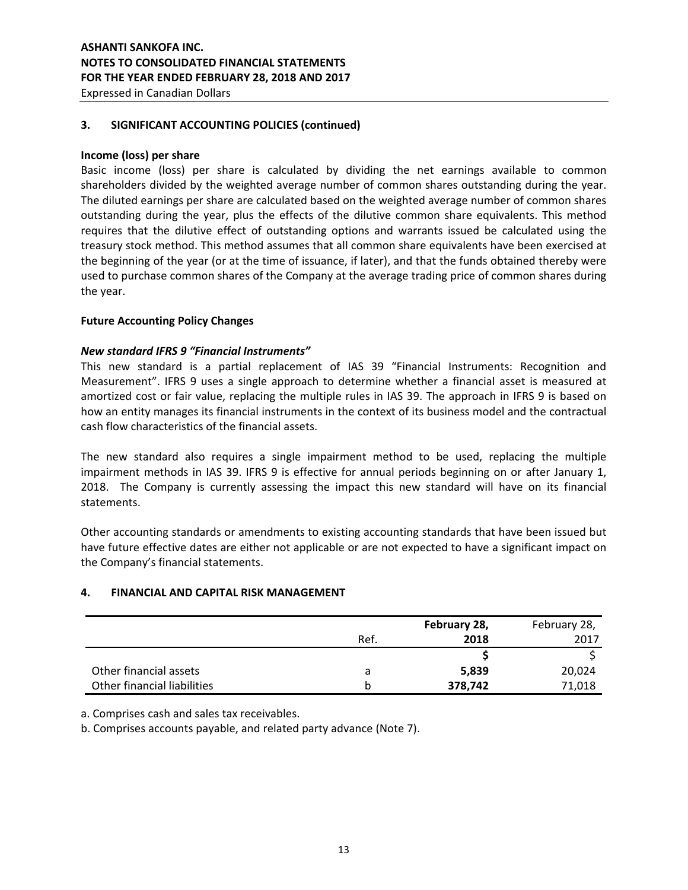# **ASHANTI SANKOFA INC. NOTES TO CONSOLIDATED FINANCIAL STATEMENTS FOR THE YEAR ENDED FEBRUARY 28, 2018 AND 2017**

Expressed in Canadian Dollars

### **3. SIGNIFICANT ACCOUNTING POLICIES (continued)**

### **Income (loss) per share**

Basic income (loss) per share is calculated by dividing the net earnings available to common shareholders divided by the weighted average number of common shares outstanding during the year. The diluted earnings per share are calculated based on the weighted average number of common shares outstanding during the year, plus the effects of the dilutive common share equivalents. This method requires that the dilutive effect of outstanding options and warrants issued be calculated using the treasury stock method. This method assumes that all common share equivalents have been exercised at the beginning of the year (or at the time of issuance, if later), and that the funds obtained thereby were used to purchase common shares of the Company at the average trading price of common shares during the year.

### **Future Accounting Policy Changes**

### *New standard IFRS 9 "Financial Instruments"*

This new standard is a partial replacement of IAS 39 "Financial Instruments: Recognition and Measurement". IFRS 9 uses a single approach to determine whether a financial asset is measured at amortized cost or fair value, replacing the multiple rules in IAS 39. The approach in IFRS 9 is based on how an entity manages its financial instruments in the context of its business model and the contractual cash flow characteristics of the financial assets.

The new standard also requires a single impairment method to be used, replacing the multiple impairment methods in IAS 39. IFRS 9 is effective for annual periods beginning on or after January 1, 2018. The Company is currently assessing the impact this new standard will have on its financial statements.

Other accounting standards or amendments to existing accounting standards that have been issued but have future effective dates are either not applicable or are not expected to have a significant impact on the Company's financial statements.

# **4. FINANCIAL AND CAPITAL RISK MANAGEMENT**

|                             |      | February 28, | February 28, |
|-----------------------------|------|--------------|--------------|
|                             | Ref. | 2018         | 2017         |
|                             |      |              |              |
| Other financial assets      | a    | 5,839        | 20,024       |
| Other financial liabilities |      | 378,742      | 71,018       |

a. Comprises cash and sales tax receivables.

b. Comprises accounts payable, and related party advance (Note 7).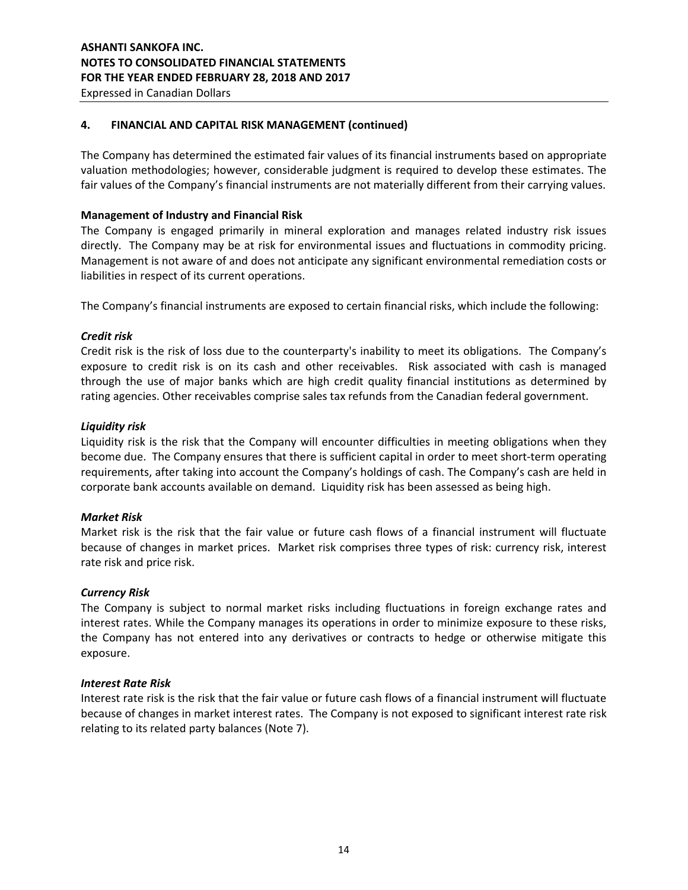## **4. FINANCIAL AND CAPITAL RISK MANAGEMENT (continued)**

The Company has determined the estimated fair values of its financial instruments based on appropriate valuation methodologies; however, considerable judgment is required to develop these estimates. The fair values of the Company's financial instruments are not materially different from their carrying values.

### **Management of Industry and Financial Risk**

The Company is engaged primarily in mineral exploration and manages related industry risk issues directly. The Company may be at risk for environmental issues and fluctuations in commodity pricing. Management is not aware of and does not anticipate any significant environmental remediation costs or liabilities in respect of its current operations.

The Company's financial instruments are exposed to certain financial risks, which include the following:

### *Credit risk*

Credit risk is the risk of loss due to the counterparty's inability to meet its obligations. The Company's exposure to credit risk is on its cash and other receivables. Risk associated with cash is managed through the use of major banks which are high credit quality financial institutions as determined by rating agencies. Other receivables comprise sales tax refunds from the Canadian federal government.

### *Liquidity risk*

Liquidity risk is the risk that the Company will encounter difficulties in meeting obligations when they become due. The Company ensures that there is sufficient capital in order to meet short-term operating requirements, after taking into account the Company's holdings of cash. The Company's cash are held in corporate bank accounts available on demand. Liquidity risk has been assessed as being high.

# *Market Risk*

Market risk is the risk that the fair value or future cash flows of a financial instrument will fluctuate because of changes in market prices. Market risk comprises three types of risk: currency risk, interest rate risk and price risk.

### *Currency Risk*

The Company is subject to normal market risks including fluctuations in foreign exchange rates and interest rates. While the Company manages its operations in order to minimize exposure to these risks, the Company has not entered into any derivatives or contracts to hedge or otherwise mitigate this exposure.

### *Interest Rate Risk*

Interest rate risk is the risk that the fair value or future cash flows of a financial instrument will fluctuate because of changes in market interest rates. The Company is not exposed to significant interest rate risk relating to its related party balances (Note 7).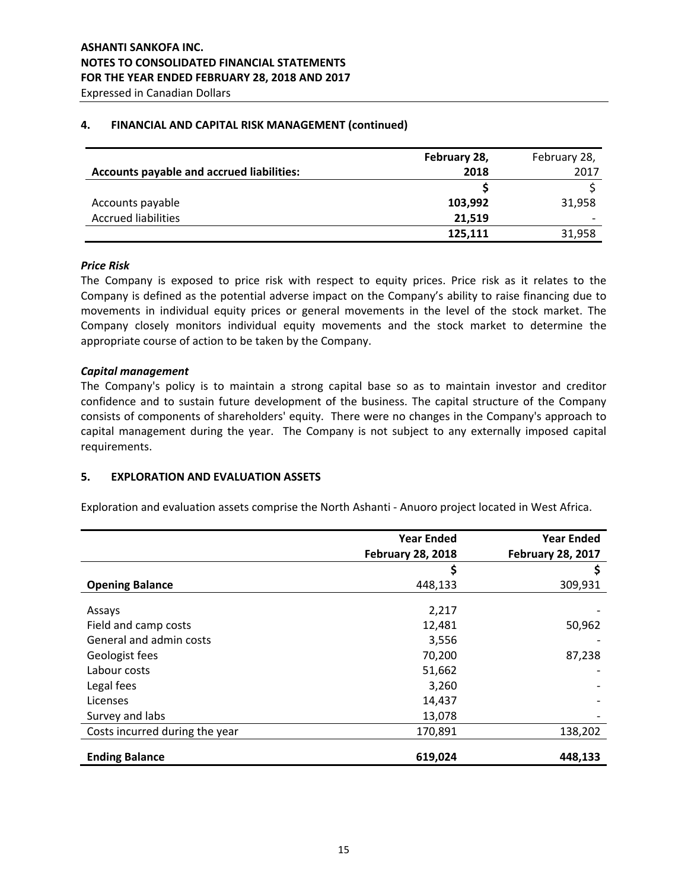## **4. FINANCIAL AND CAPITAL RISK MANAGEMENT (continued)**

|                                                  | February 28, | February 28, |
|--------------------------------------------------|--------------|--------------|
| <b>Accounts payable and accrued liabilities:</b> | 2018         | 2017         |
|                                                  |              |              |
| Accounts payable                                 | 103,992      | 31,958       |
| <b>Accrued liabilities</b>                       | 21,519       |              |
|                                                  | 125,111      | 31,958       |

### *Price Risk*

The Company is exposed to price risk with respect to equity prices. Price risk as it relates to the Company is defined as the potential adverse impact on the Company's ability to raise financing due to movements in individual equity prices or general movements in the level of the stock market. The Company closely monitors individual equity movements and the stock market to determine the appropriate course of action to be taken by the Company.

### *Capital management*

The Company's policy is to maintain a strong capital base so as to maintain investor and creditor confidence and to sustain future development of the business. The capital structure of the Company consists of components of shareholders' equity. There were no changes in the Company's approach to capital management during the year. The Company is not subject to any externally imposed capital requirements.

### **5. EXPLORATION AND EVALUATION ASSETS**

Exploration and evaluation assets comprise the North Ashanti - Anuoro project located in West Africa.

|                                | <b>Year Ended</b><br><b>February 28, 2018</b> | <b>Year Ended</b><br><b>February 28, 2017</b> |
|--------------------------------|-----------------------------------------------|-----------------------------------------------|
|                                | \$                                            |                                               |
| <b>Opening Balance</b>         | 448,133                                       | 309,931                                       |
| Assays                         | 2,217                                         |                                               |
| Field and camp costs           | 12,481                                        | 50,962                                        |
| General and admin costs        | 3,556                                         |                                               |
| Geologist fees                 | 70,200                                        | 87,238                                        |
| Labour costs                   | 51,662                                        |                                               |
| Legal fees                     | 3,260                                         |                                               |
| Licenses                       | 14,437                                        |                                               |
| Survey and labs                | 13,078                                        |                                               |
| Costs incurred during the year | 170,891                                       | 138,202                                       |
| <b>Ending Balance</b>          | 619,024                                       | 448,133                                       |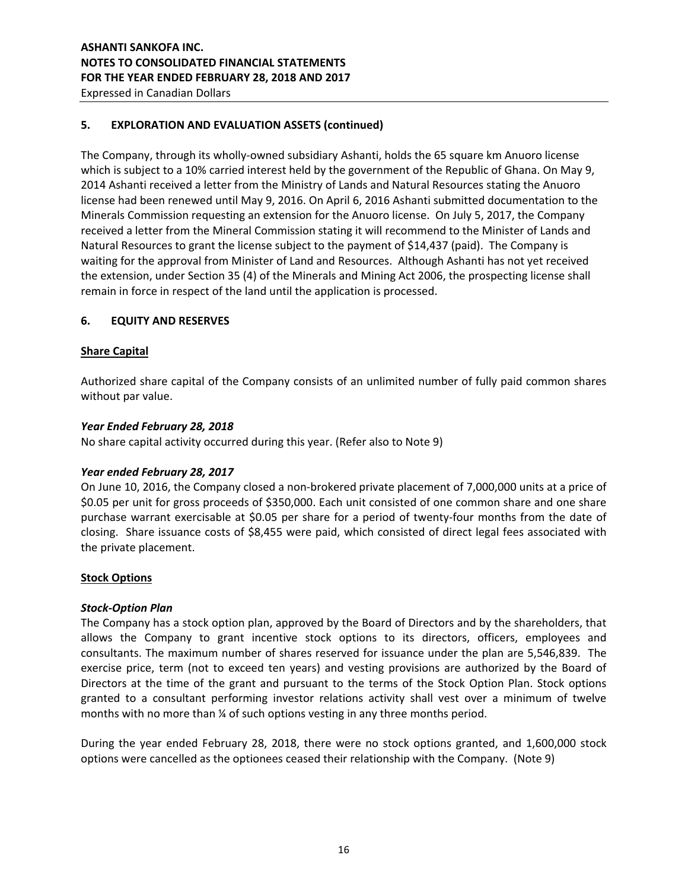# **5. EXPLORATION AND EVALUATION ASSETS (continued)**

The Company, through its wholly-owned subsidiary Ashanti, holds the 65 square km Anuoro license which is subject to a 10% carried interest held by the government of the Republic of Ghana. On May 9, 2014 Ashanti received a letter from the Ministry of Lands and Natural Resources stating the Anuoro license had been renewed until May 9, 2016. On April 6, 2016 Ashanti submitted documentation to the Minerals Commission requesting an extension for the Anuoro license. On July 5, 2017, the Company received a letter from the Mineral Commission stating it will recommend to the Minister of Lands and Natural Resources to grant the license subject to the payment of \$14,437 (paid). The Company is waiting for the approval from Minister of Land and Resources. Although Ashanti has not yet received the extension, under Section 35 (4) of the Minerals and Mining Act 2006, the prospecting license shall remain in force in respect of the land until the application is processed.

# **6. EQUITY AND RESERVES**

### **Share Capital**

Authorized share capital of the Company consists of an unlimited number of fully paid common shares without par value.

### *Year Ended February 28, 2018*

No share capital activity occurred during this year. (Refer also to Note 9)

# *Year ended February 28, 2017*

On June 10, 2016, the Company closed a non-brokered private placement of 7,000,000 units at a price of \$0.05 per unit for gross proceeds of \$350,000. Each unit consisted of one common share and one share purchase warrant exercisable at \$0.05 per share for a period of twenty-four months from the date of closing. Share issuance costs of \$8,455 were paid, which consisted of direct legal fees associated with the private placement.

### **Stock Options**

### *Stock-Option Plan*

The Company has a stock option plan, approved by the Board of Directors and by the shareholders, that allows the Company to grant incentive stock options to its directors, officers, employees and consultants. The maximum number of shares reserved for issuance under the plan are 5,546,839. The exercise price, term (not to exceed ten years) and vesting provisions are authorized by the Board of Directors at the time of the grant and pursuant to the terms of the Stock Option Plan. Stock options granted to a consultant performing investor relations activity shall vest over a minimum of twelve months with no more than ¼ of such options vesting in any three months period.

During the year ended February 28, 2018, there were no stock options granted, and 1,600,000 stock options were cancelled as the optionees ceased their relationship with the Company. (Note 9)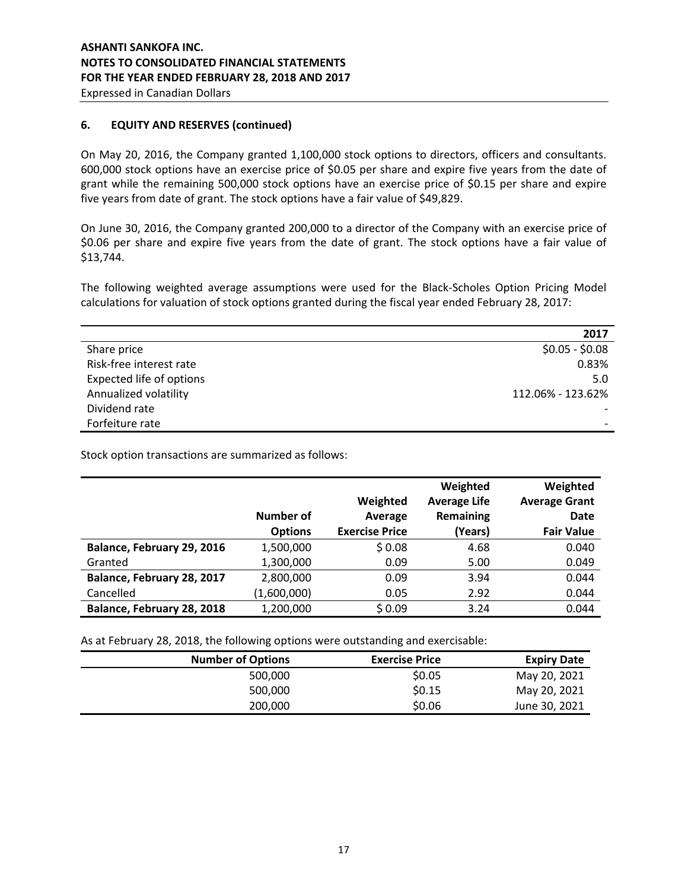# **6. EQUITY AND RESERVES (continued)**

On May 20, 2016, the Company granted 1,100,000 stock options to directors, officers and consultants. 600,000 stock options have an exercise price of \$0.05 per share and expire five years from the date of grant while the remaining 500,000 stock options have an exercise price of \$0.15 per share and expire five years from date of grant. The stock options have a fair value of \$49,829.

On June 30, 2016, the Company granted 200,000 to a director of the Company with an exercise price of \$0.06 per share and expire five years from the date of grant. The stock options have a fair value of \$13,744.

The following weighted average assumptions were used for the Black-Scholes Option Pricing Model calculations for valuation of stock options granted during the fiscal year ended February 28, 2017:

|                          | 2017              |
|--------------------------|-------------------|
| Share price              | $$0.05 - $0.08$$  |
| Risk-free interest rate  | 0.83%             |
| Expected life of options | 5.0               |
| Annualized volatility    | 112.06% - 123.62% |
| Dividend rate            |                   |
| Forfeiture rate          |                   |

Stock option transactions are summarized as follows:

|                            | <b>Number of</b> | Weighted<br>Average   | Weighted<br><b>Average Life</b><br>Remaining | Weighted<br><b>Average Grant</b><br><b>Date</b> |
|----------------------------|------------------|-----------------------|----------------------------------------------|-------------------------------------------------|
|                            | <b>Options</b>   | <b>Exercise Price</b> | (Years)                                      | <b>Fair Value</b>                               |
| Balance, February 29, 2016 | 1,500,000        | \$0.08                | 4.68                                         | 0.040                                           |
| Granted                    | 1,300,000        | 0.09                  | 5.00                                         | 0.049                                           |
| Balance, February 28, 2017 | 2,800,000        | 0.09                  | 3.94                                         | 0.044                                           |
| Cancelled                  | (1,600,000)      | 0.05                  | 2.92                                         | 0.044                                           |
| Balance, February 28, 2018 | 1,200,000        | \$0.09                | 3.24                                         | 0.044                                           |

As at February 28, 2018, the following options were outstanding and exercisable:

| <b>Number of Options</b> | <b>Exercise Price</b> | <b>Expiry Date</b> |
|--------------------------|-----------------------|--------------------|
| 500,000                  | \$0.05                | May 20, 2021       |
| 500,000                  | \$0.15                | May 20, 2021       |
| 200,000                  | \$0.06                | June 30, 2021      |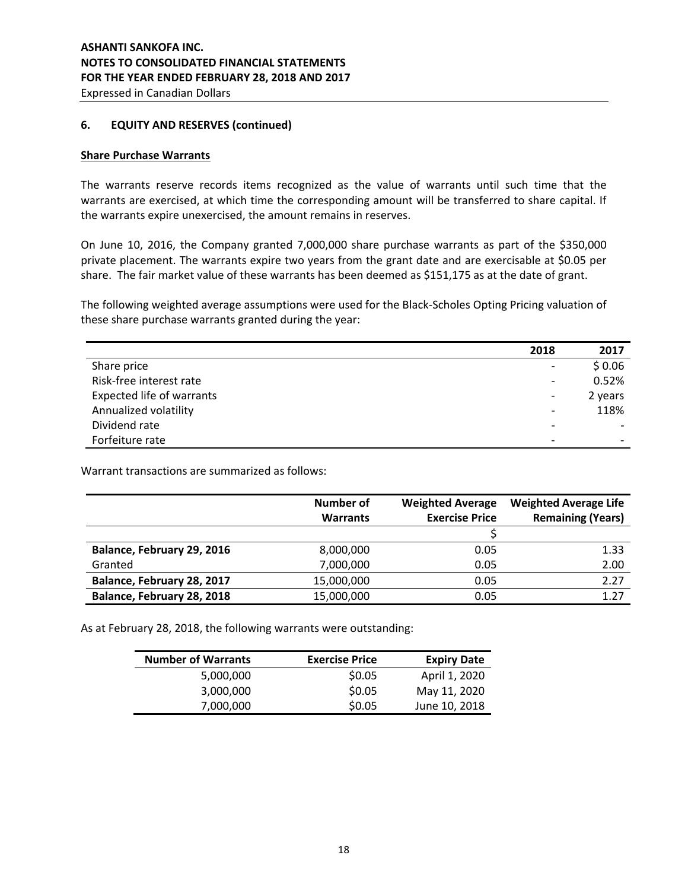### **6. EQUITY AND RESERVES (continued)**

### **Share Purchase Warrants**

The warrants reserve records items recognized as the value of warrants until such time that the warrants are exercised, at which time the corresponding amount will be transferred to share capital. If the warrants expire unexercised, the amount remains in reserves.

On June 10, 2016, the Company granted 7,000,000 share purchase warrants as part of the \$350,000 private placement. The warrants expire two years from the grant date and are exercisable at \$0.05 per share. The fair market value of these warrants has been deemed as \$151,175 as at the date of grant.

The following weighted average assumptions were used for the Black-Scholes Opting Pricing valuation of these share purchase warrants granted during the year:

|                                  | 2018                         | 2017    |
|----------------------------------|------------------------------|---------|
| Share price                      |                              | \$0.06  |
| Risk-free interest rate          | $\overline{\phantom{a}}$     | 0.52%   |
| <b>Expected life of warrants</b> |                              | 2 years |
| Annualized volatility            | $\qquad \qquad \blacksquare$ | 118%    |
| Dividend rate                    |                              |         |
| Forfeiture rate                  | $\overline{\phantom{0}}$     |         |

Warrant transactions are summarized as follows:

|                            | Number of       | <b>Weighted Average</b> | <b>Weighted Average Life</b> |
|----------------------------|-----------------|-------------------------|------------------------------|
|                            | <b>Warrants</b> | <b>Exercise Price</b>   | <b>Remaining (Years)</b>     |
|                            |                 |                         |                              |
| Balance, February 29, 2016 | 8,000,000       | 0.05                    | 1.33                         |
| Granted                    | 7,000,000       | 0.05                    | 2.00                         |
| Balance, February 28, 2017 | 15,000,000      | 0.05                    | 2.27                         |
| Balance, February 28, 2018 | 15,000,000      | 0.05                    | 1.27                         |

As at February 28, 2018, the following warrants were outstanding:

| <b>Number of Warrants</b> | <b>Exercise Price</b> | <b>Expiry Date</b> |
|---------------------------|-----------------------|--------------------|
| 5,000,000                 | \$0.05                | April 1, 2020      |
| 3,000,000                 | \$0.05                | May 11, 2020       |
| 7,000,000                 | \$0.05                | June 10, 2018      |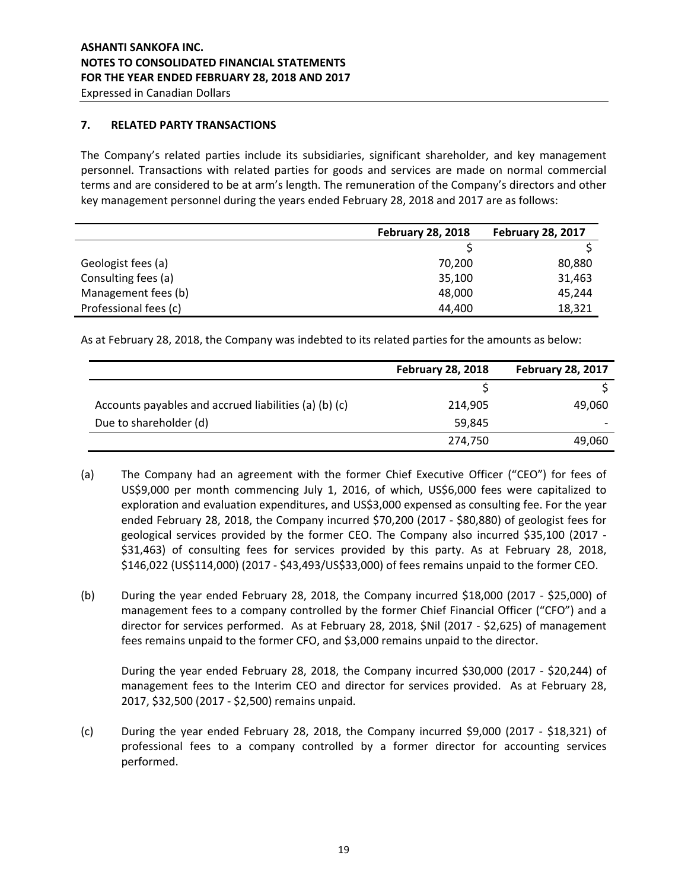# **7. RELATED PARTY TRANSACTIONS**

The Company's related parties include its subsidiaries, significant shareholder, and key management personnel. Transactions with related parties for goods and services are made on normal commercial terms and are considered to be at arm's length. The remuneration of the Company's directors and other key management personnel during the years ended February 28, 2018 and 2017 are as follows:

|                       | <b>February 28, 2018</b> | <b>February 28, 2017</b> |
|-----------------------|--------------------------|--------------------------|
|                       |                          |                          |
| Geologist fees (a)    | 70,200                   | 80,880                   |
| Consulting fees (a)   | 35,100                   | 31,463                   |
| Management fees (b)   | 48,000                   | 45,244                   |
| Professional fees (c) | 44.400                   | 18,321                   |

As at February 28, 2018, the Company was indebted to its related parties for the amounts as below:

|                                                       | <b>February 28, 2018</b> | <b>February 28, 2017</b> |
|-------------------------------------------------------|--------------------------|--------------------------|
|                                                       |                          |                          |
| Accounts payables and accrued liabilities (a) (b) (c) | 214,905                  | 49,060                   |
| Due to shareholder (d)                                | 59.845                   |                          |
|                                                       | 274,750                  | 49,060                   |

- (a) The Company had an agreement with the former Chief Executive Officer ("CEO") for fees of US\$9,000 per month commencing July 1, 2016, of which, US\$6,000 fees were capitalized to exploration and evaluation expenditures, and US\$3,000 expensed as consulting fee. For the year ended February 28, 2018, the Company incurred \$70,200 (2017 - \$80,880) of geologist fees for geological services provided by the former CEO. The Company also incurred \$35,100 (2017 - \$31,463) of consulting fees for services provided by this party. As at February 28, 2018, \$146,022 (US\$114,000) (2017 - \$43,493/US\$33,000) of fees remains unpaid to the former CEO.
- (b) During the year ended February 28, 2018, the Company incurred \$18,000 (2017 \$25,000) of management fees to a company controlled by the former Chief Financial Officer ("CFO") and a director for services performed. As at February 28, 2018, \$Nil (2017 - \$2,625) of management fees remains unpaid to the former CFO, and \$3,000 remains unpaid to the director.

During the year ended February 28, 2018, the Company incurred \$30,000 (2017 - \$20,244) of management fees to the Interim CEO and director for services provided. As at February 28, 2017, \$32,500 (2017 - \$2,500) remains unpaid.

(c) During the year ended February 28, 2018, the Company incurred \$9,000 (2017 - \$18,321) of professional fees to a company controlled by a former director for accounting services performed.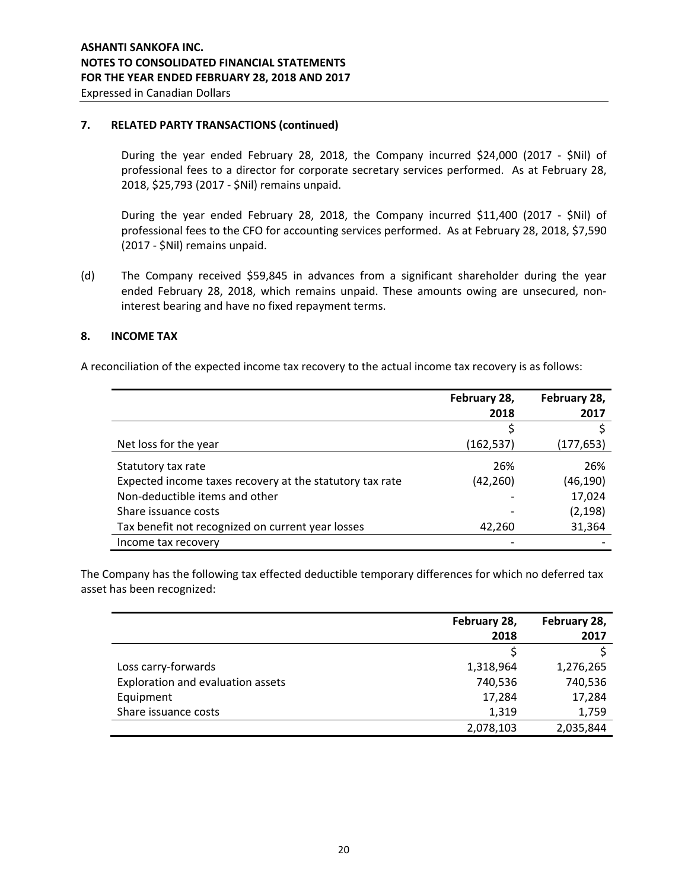### **7. RELATED PARTY TRANSACTIONS (continued)**

During the year ended February 28, 2018, the Company incurred \$24,000 (2017 - \$Nil) of professional fees to a director for corporate secretary services performed. As at February 28, 2018, \$25,793 (2017 - \$Nil) remains unpaid.

During the year ended February 28, 2018, the Company incurred \$11,400 (2017 - \$Nil) of professional fees to the CFO for accounting services performed. As at February 28, 2018, \$7,590 (2017 - \$Nil) remains unpaid.

(d) The Company received \$59,845 in advances from a significant shareholder during the year ended February 28, 2018, which remains unpaid. These amounts owing are unsecured, noninterest bearing and have no fixed repayment terms.

### **8. INCOME TAX**

A reconciliation of the expected income tax recovery to the actual income tax recovery is as follows:

|                                                          | February 28, | February 28, |
|----------------------------------------------------------|--------------|--------------|
|                                                          | 2018         | 2017         |
|                                                          |              |              |
| Net loss for the year                                    | (162, 537)   | (177,653)    |
| Statutory tax rate                                       | 26%          | 26%          |
| Expected income taxes recovery at the statutory tax rate | (42, 260)    | (46,190)     |
| Non-deductible items and other                           |              | 17,024       |
| Share issuance costs                                     |              | (2, 198)     |
| Tax benefit not recognized on current year losses        | 42,260       | 31,364       |
| Income tax recovery                                      |              |              |

The Company has the following tax effected deductible temporary differences for which no deferred tax asset has been recognized:

|                                   | February 28, | February 28, |
|-----------------------------------|--------------|--------------|
|                                   | 2018         | 2017         |
|                                   |              |              |
| Loss carry-forwards               | 1,318,964    | 1,276,265    |
| Exploration and evaluation assets | 740,536      | 740,536      |
| Equipment                         | 17,284       | 17,284       |
| Share issuance costs              | 1,319        | 1,759        |
|                                   | 2,078,103    | 2,035,844    |